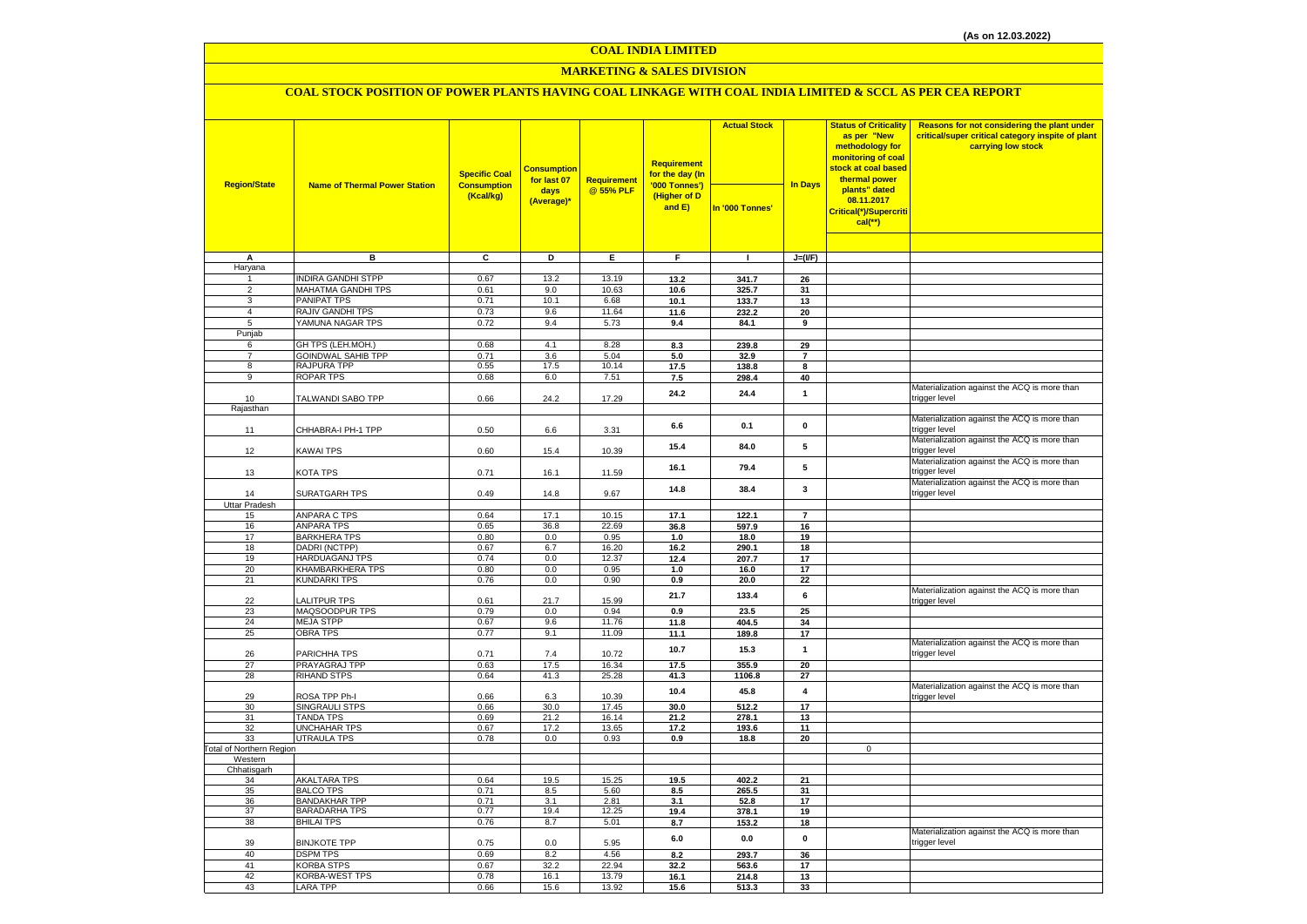#### **COAL INDIA LIMITED**

### **MARKETING & SALES DIVISION**

### **COAL STOCK POSITION OF POWER PLANTS HAVING COAL LINKAGE WITH COAL INDIA LIMITED & SCCL AS PER CEA REPORT**

|                                |                                            | <b>Specific Coal</b>            | <b>Consumption</b><br>for last 07 | Requirement    | <b>Requirement</b><br>for the day (In   | <b>Actual Stock</b> | <b>In Days</b>          | <b>Status of Criticality</b><br>as per "New<br>methodology for<br>monitoring of coal<br>stock at coal based<br>thermal power | Reasons for not considering the plant under<br>critical/super critical category inspite of plant<br>carrying low stock |
|--------------------------------|--------------------------------------------|---------------------------------|-----------------------------------|----------------|-----------------------------------------|---------------------|-------------------------|------------------------------------------------------------------------------------------------------------------------------|------------------------------------------------------------------------------------------------------------------------|
| <b>Region/State</b>            | <b>Name of Thermal Power Station</b>       | <b>Consumption</b><br>(Kcal/kg) | days<br>(Average)*                | @ 55% PLF      | '000 Tonnes')<br>(Higher of D<br>and E) | In '000 Tonnes'     |                         | plants" dated<br>08.11.2017<br>Critical(*)/Supercriti<br>$cal$ (**)                                                          |                                                                                                                        |
|                                |                                            |                                 |                                   |                |                                         |                     |                         |                                                                                                                              |                                                                                                                        |
| A<br>Haryana                   | в                                          | C                               | D                                 | Е              | F.                                      | $\mathbf{I}$        | $J=(I/F)$               |                                                                                                                              |                                                                                                                        |
|                                | <b>INDIRA GANDHI STPP</b>                  | 0.67                            | 13.2                              | 13.19          | 13.2                                    | 341.7               | 26                      |                                                                                                                              |                                                                                                                        |
| $\overline{2}$                 | <b>MAHATMA GANDHI TPS</b>                  | 0.61                            | 9.0                               | 10.63          | 10.6                                    | 325.7               | 31                      |                                                                                                                              |                                                                                                                        |
| 3                              | <b>PANIPAT TPS</b>                         | 0.71                            | 10.1                              | 6.68           | 10.1                                    | 133.7               | 13                      |                                                                                                                              |                                                                                                                        |
| $\overline{4}$                 | RAJIV GANDHI TPS                           | 0.73                            | 9.6                               | 11.64          | 11.6                                    | 232.2               | 20                      |                                                                                                                              |                                                                                                                        |
| 5<br>Punjab                    | YAMUNA NAGAR TPS                           | 0.72                            | 9.4                               | 5.73           | 9.4                                     | 84.1                | 9                       |                                                                                                                              |                                                                                                                        |
| 6                              | GH TPS (LEH.MOH.)                          | 0.68                            | 4.1                               | 8.28           | 8.3                                     | 239.8               | 29                      |                                                                                                                              |                                                                                                                        |
| $\overline{7}$                 | <b>GOINDWAL SAHIB TPP</b>                  | 0.71                            | 3.6                               | 5.04           | 5.0                                     | 32.9                | $\overline{7}$          |                                                                                                                              |                                                                                                                        |
| 8                              | <b>RAJPURA TPP</b>                         | 0.55                            | 17.5                              | 10.14          | 17.5                                    | 138.8               | 8                       |                                                                                                                              |                                                                                                                        |
| 9                              | ROPAR TPS                                  | 0.68                            | 6.0                               | 7.51           | 7.5                                     | 298.4               | 40                      |                                                                                                                              |                                                                                                                        |
| 10<br>Rajasthan                | TALWANDI SABO TPP                          | 0.66                            | 24.2                              | 17.29          | 24.2                                    | 24.4                | $\mathbf{1}$            |                                                                                                                              | Materialization against the ACQ is more than<br>trigger level                                                          |
|                                |                                            |                                 |                                   |                |                                         |                     |                         |                                                                                                                              | Materialization against the ACQ is more than                                                                           |
| 11                             | CHHABRA-I PH-1 TPP                         | 0.50                            | 6.6                               | 3.31           | 6.6                                     | 0.1                 | 0                       |                                                                                                                              | trigger level                                                                                                          |
| 12                             | KAWAI TPS                                  | 0.60                            | 15.4                              | 10.39          | 15.4                                    | 84.0                | 5                       |                                                                                                                              | Materialization against the ACQ is more than<br>trigger level                                                          |
| 13                             | KOTA TPS                                   | 0.71                            | 16.1                              | 11.59          | 16.1                                    | 79.4                | 5                       |                                                                                                                              | Materialization against the ACQ is more than<br>trigger level                                                          |
| 14                             | SURATGARH TPS                              | 0.49                            | 14.8                              | 9.67           | 14.8                                    | 38.4                | 3                       |                                                                                                                              | Materialization against the ACQ is more than<br>trigger level                                                          |
| Uttar Pradesh                  |                                            |                                 |                                   |                |                                         |                     |                         |                                                                                                                              |                                                                                                                        |
| 15<br>16                       | <b>ANPARA C TPS</b><br>ANPARA TPS          | 0.64<br>0.65                    | 17.1<br>36.8                      | 10.15<br>22.69 | 17.1<br>36.8                            | 122.1<br>597.9      | $\overline{7}$<br>16    |                                                                                                                              |                                                                                                                        |
| 17                             | <b>BARKHERA TPS</b>                        | 0.80                            | 0.0                               | 0.95           | 1.0                                     | 18.0                | 19                      |                                                                                                                              |                                                                                                                        |
| 18                             | DADRI (NCTPP)                              | 0.67                            | 6.7                               | 16.20          | 16.2                                    | 290.1               | 18                      |                                                                                                                              |                                                                                                                        |
| 19                             | <b>HARDUAGANJ TPS</b>                      | 0.74                            | 0.0                               | 12.37          | 12.4                                    | 207.7               | 17                      |                                                                                                                              |                                                                                                                        |
| 20                             | KHAMBARKHERA TPS                           | 0.80                            | 0.0                               | 0.95           | 1.0                                     | 16.0                | 17                      |                                                                                                                              |                                                                                                                        |
| 21<br>22                       | <b>KUNDARKI TPS</b><br><b>LALITPUR TPS</b> | 0.76<br>0.61                    | 0.0<br>21.7                       | 0.90<br>15.99  | 0.9<br>21.7                             | 20.0<br>133.4       | 22<br>6                 |                                                                                                                              | Materialization against the ACQ is more than<br>trigger level                                                          |
| 23                             | MAQSOODPUR TPS                             | 0.79                            | 0.0                               | 0.94           | 0.9                                     | 23.5                | 25                      |                                                                                                                              |                                                                                                                        |
| 24                             | <b>MEJA STPP</b>                           | 0.67                            | 9.6                               | 11.76          | 11.8                                    | 404.5               | 34                      |                                                                                                                              |                                                                                                                        |
| 25                             | <b>OBRA TPS</b>                            | 0.77                            | 9.1                               | 11.09          | 11.1                                    | 189.8               | 17                      |                                                                                                                              |                                                                                                                        |
| 26                             | PARICHHA TPS                               | 0.71                            | 7.4                               | 10.72          | 10.7                                    | 15.3                | $\mathbf{1}$            |                                                                                                                              | Materialization against the ACQ is more than<br>trigger level                                                          |
| 27<br>28                       | PRAYAGRAJ TPP<br><b>RIHAND STPS</b>        | 0.63<br>0.64                    | 17.5<br>41.3                      | 16.34<br>25.28 | 17.5<br>41.3                            | 355.9<br>1106.8     | 20<br>27                |                                                                                                                              |                                                                                                                        |
| 29                             | ROSA TPP Ph-I                              | 0.66                            | 6.3                               | 10.39          | 10.4                                    | 45.8                | $\overline{\mathbf{4}}$ |                                                                                                                              | Materialization against the ACQ is more than<br>trigger level                                                          |
| 30                             | SINGRAULI STPS                             | 0.66                            | 30.0                              | 17.45          | 30.0                                    | 512.2               | 17                      |                                                                                                                              |                                                                                                                        |
| 31                             | <b>TANDA TPS</b>                           | 0.69                            | 21.2                              | 16.14          | 21.2                                    | 278.1               | 13                      |                                                                                                                              |                                                                                                                        |
| 32                             | <b>UNCHAHAR TPS</b>                        | 0.67                            | 17.2                              | 13.65          | 17.2                                    | 193.6               | 11                      |                                                                                                                              |                                                                                                                        |
| 33<br>Total of Northern Region | <b>UTRAULA TPS</b>                         | 0.78                            | 0.0                               | 0.93           | 0.9                                     | 18.8                | 20                      | $\mathbf 0$                                                                                                                  |                                                                                                                        |
| Western                        |                                            |                                 |                                   |                |                                         |                     |                         |                                                                                                                              |                                                                                                                        |
| Chhatisgarh                    |                                            |                                 |                                   |                |                                         |                     |                         |                                                                                                                              |                                                                                                                        |
| 34<br>35                       | <b>AKALTARA TPS</b><br><b>BALCO TPS</b>    | 0.64<br>0.71                    | 19.5<br>8.5                       | 15.25<br>5.60  | 19.5<br>8.5                             | 402.2<br>265.5      | 21<br>31                |                                                                                                                              |                                                                                                                        |
| 36                             | <b>BANDAKHAR TPP</b>                       | 0.71                            | 3.1                               | 2.81           | 3.1                                     | 52.8                | 17                      |                                                                                                                              |                                                                                                                        |
| 37                             | <b>BARADARHA TPS</b>                       | 0.77                            | 19.4                              | 12.25          | 19.4                                    | 378.1               | 19                      |                                                                                                                              |                                                                                                                        |
| 38                             | <b>BHILAI TPS</b>                          | 0.76                            | 8.7                               | 5.01           | 8.7                                     | 153.2               | 18                      |                                                                                                                              |                                                                                                                        |
| 39                             | <b>BINJKOTE TPP</b>                        | 0.75                            | 0.0                               | 5.95           | $6.0\,$                                 | 0.0                 | $\pmb{0}$               |                                                                                                                              | Materialization against the ACQ is more than<br>trigger level                                                          |
| 40                             | <b>DSPM TPS</b>                            | 0.69                            | 8.2                               | 4.56           | 8.2                                     | 293.7               | 36                      |                                                                                                                              |                                                                                                                        |
| 41<br>42                       | KORBA STPS                                 | 0.67                            | 32.2                              | 22.94          | 32.2                                    | 563.6               | 17                      |                                                                                                                              |                                                                                                                        |
| 43                             | KORBA-WEST TPS<br>LARA TPP                 | 0.78<br>0.66                    | 16.1<br>15.6                      | 13.79<br>13.92 | 16.1<br>15.6                            | 214.8<br>513.3      | 13<br>33                |                                                                                                                              |                                                                                                                        |
|                                |                                            |                                 |                                   |                |                                         |                     |                         |                                                                                                                              |                                                                                                                        |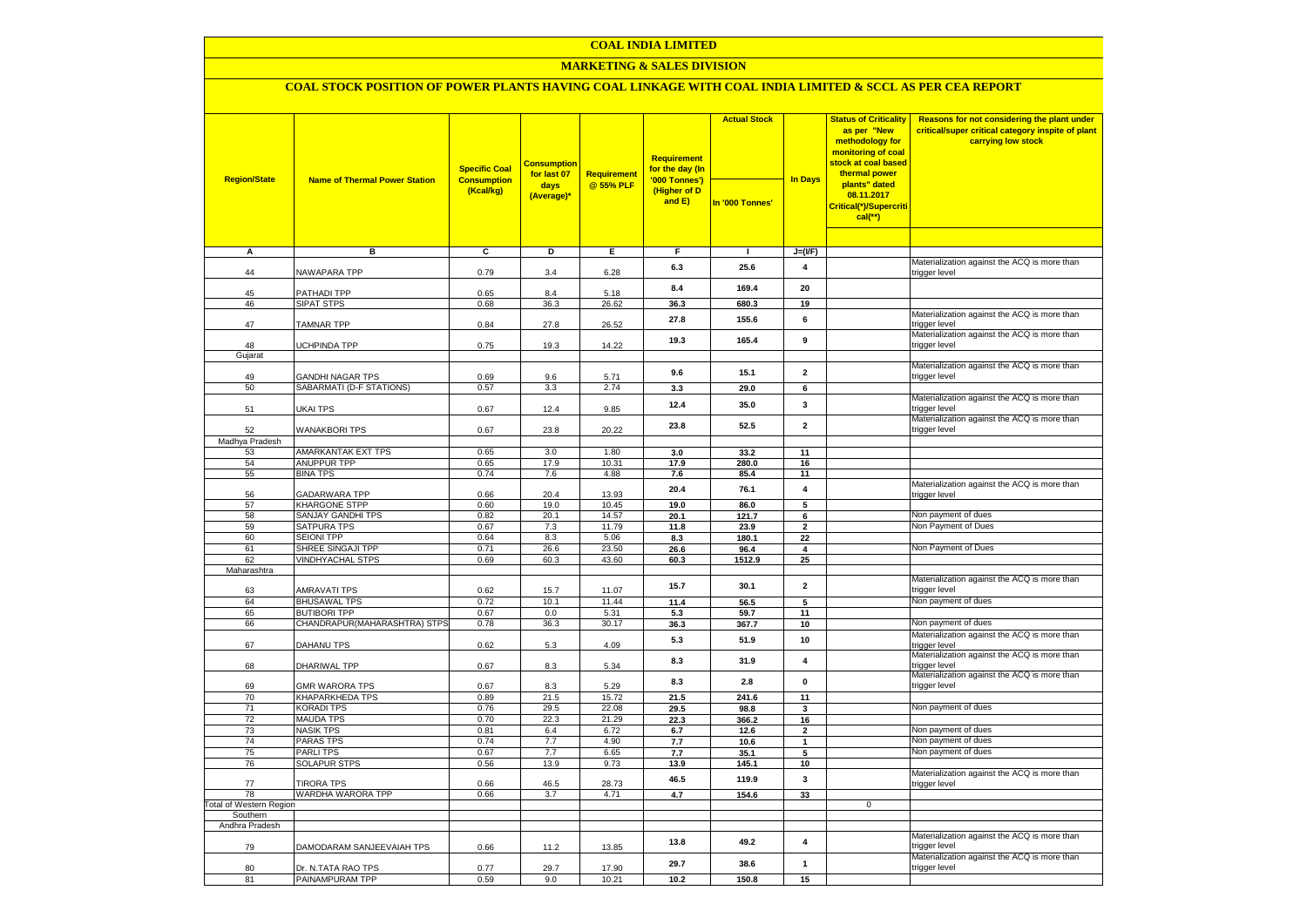### **COAL INDIA LIMITED**

### **MARKETING & SALES DIVISION**

# **COAL STOCK POSITION OF POWER PLANTS HAVING COAL LINKAGE WITH COAL INDIA LIMITED & SCCL AS PER CEA REPORT**

| <b>Region/State</b>            | <b>Name of Thermal Power Station</b>                | <b>Specific Coal</b><br><b>Consumption</b><br>(Kcal/kg) | <b>Consumption</b><br>for last 07<br>days<br>(Average)* | <b>Requirement</b><br>@ 55% PLF | Requirement<br>for the day (In<br>'000 Tonnes')<br>(Higher of D<br>and E) | <b>Actual Stock</b><br>In '000 Tonnes' | <b>In Days</b>                 | <b>Status of Criticality</b><br>as per "New<br>methodology for<br>monitoring of coal<br>stock at coal based<br>thermal power<br>plants" dated<br>08.11.2017<br>Critical(*)/Supercriti<br>$cal$ (**) | Reasons for not considering the plant under<br>critical/super critical category inspite of plant<br>carrying low stock |
|--------------------------------|-----------------------------------------------------|---------------------------------------------------------|---------------------------------------------------------|---------------------------------|---------------------------------------------------------------------------|----------------------------------------|--------------------------------|-----------------------------------------------------------------------------------------------------------------------------------------------------------------------------------------------------|------------------------------------------------------------------------------------------------------------------------|
|                                |                                                     |                                                         |                                                         |                                 |                                                                           |                                        |                                |                                                                                                                                                                                                     |                                                                                                                        |
| A                              | в                                                   | c                                                       | D                                                       | Ε                               | F                                                                         | $\blacksquare$                         | $J=(I/F)$                      |                                                                                                                                                                                                     |                                                                                                                        |
|                                |                                                     |                                                         |                                                         |                                 |                                                                           |                                        |                                |                                                                                                                                                                                                     | Materialization against the ACQ is more than                                                                           |
| 44                             | NAWAPARA TPP                                        | 0.79                                                    | 3.4                                                     | 6.28                            | 6.3                                                                       | 25.6                                   | 4                              |                                                                                                                                                                                                     | trigger level                                                                                                          |
| 45                             | PATHADI TPP                                         | 0.65                                                    | 8.4                                                     | 5.18                            | 8.4                                                                       | 169.4                                  | 20                             |                                                                                                                                                                                                     |                                                                                                                        |
| 46                             | <b>SIPAT STPS</b>                                   | 0.68                                                    | 36.3                                                    | 26.62                           | 36.3                                                                      | 680.3                                  | 19                             |                                                                                                                                                                                                     |                                                                                                                        |
| 47                             | <b>TAMNAR TPP</b>                                   | 0.84                                                    | 27.8                                                    | 26.52                           | 27.8                                                                      | 155.6                                  | 6                              |                                                                                                                                                                                                     | Materialization against the ACQ is more than<br>trigger level                                                          |
| 48                             | <b>UCHPINDA TPP</b>                                 | 0.75                                                    | 19.3                                                    | 14.22                           | 19.3                                                                      | 165.4                                  | 9                              |                                                                                                                                                                                                     | Materialization against the ACQ is more than<br>trigger level                                                          |
| Gujarat                        |                                                     |                                                         |                                                         |                                 |                                                                           |                                        |                                |                                                                                                                                                                                                     |                                                                                                                        |
|                                |                                                     |                                                         |                                                         |                                 | 9.6                                                                       | 15.1                                   | $\overline{2}$                 |                                                                                                                                                                                                     | Materialization against the ACQ is more than<br>trigger level                                                          |
| 49<br>50                       | <b>GANDHI NAGAR TPS</b><br>SABARMATI (D-F STATIONS) | 0.69<br>0.57                                            | 9.6<br>3.3                                              | 5.71<br>2.74                    | 3.3                                                                       | 29.0                                   | 6                              |                                                                                                                                                                                                     |                                                                                                                        |
|                                |                                                     |                                                         |                                                         |                                 | 12.4                                                                      | 35.0                                   | 3                              |                                                                                                                                                                                                     | Materialization against the ACQ is more than                                                                           |
| 51                             | UKAI TPS                                            | 0.67                                                    | 12.4                                                    | 9.85                            |                                                                           |                                        |                                |                                                                                                                                                                                                     | trigger level<br>Materialization against the ACQ is more than                                                          |
| 52                             | <b>WANAKBORI TPS</b>                                | 0.67                                                    | 23.8                                                    | 20.22                           | 23.8                                                                      | 52.5                                   | $\overline{2}$                 |                                                                                                                                                                                                     | trigger level                                                                                                          |
| Madhya Pradesh                 |                                                     |                                                         |                                                         |                                 |                                                                           |                                        |                                |                                                                                                                                                                                                     |                                                                                                                        |
| 53                             | AMARKANTAK EXT TPS                                  | 0.65                                                    | 3.0                                                     | 1.80                            | 3.0                                                                       | 33.2                                   | 11                             |                                                                                                                                                                                                     |                                                                                                                        |
| 54                             | <b>ANUPPUR TPP</b>                                  | 0.65                                                    | 17.9                                                    | 10.31                           | 17.9                                                                      | 280.0                                  | 16                             |                                                                                                                                                                                                     |                                                                                                                        |
| 55                             | <b>BINA TPS</b>                                     | 0.74                                                    | 7.6                                                     | 4.88                            | 7.6                                                                       | 85.4                                   | 11                             |                                                                                                                                                                                                     | Materialization against the ACQ is more than                                                                           |
| 56                             | GADARWARA TPP                                       | 0.66                                                    | 20.4                                                    | 13.93                           | 20.4                                                                      | 76.1                                   | 4                              |                                                                                                                                                                                                     | trigger level                                                                                                          |
| 57                             | KHARGONE STPP                                       | 0.60                                                    | 19.0                                                    | 10.45                           | 19.0                                                                      | 86.0                                   | 5                              |                                                                                                                                                                                                     |                                                                                                                        |
| 58                             | SANJAY GANDHI TPS                                   | 0.82                                                    | 20.1                                                    | 14.57                           | 20.1                                                                      | 121.7                                  | $6\overline{6}$                |                                                                                                                                                                                                     | Non payment of dues                                                                                                    |
| 59                             | <b>SATPURA TPS</b>                                  | 0.67                                                    | 7.3                                                     | 11.79                           | 11.8                                                                      | 23.9                                   | $\mathbf{2}$                   |                                                                                                                                                                                                     | Non Payment of Dues                                                                                                    |
| 60                             | <b>SEIONI TPP</b>                                   | 0.64                                                    | 8.3                                                     | 5.06                            | 8.3                                                                       | 180.1                                  | 22                             |                                                                                                                                                                                                     |                                                                                                                        |
| 61                             | SHREE SINGAJI TPP                                   | 0.71                                                    | 26.6                                                    | 23.50                           | 26.6                                                                      | 96.4                                   | 4                              |                                                                                                                                                                                                     | Non Payment of Dues                                                                                                    |
| 62<br>Maharashtra              | <b>VINDHYACHAL STPS</b>                             | 0.69                                                    | 60.3                                                    | 43.60                           | 60.3                                                                      | 1512.9                                 | 25                             |                                                                                                                                                                                                     |                                                                                                                        |
|                                |                                                     |                                                         |                                                         |                                 |                                                                           |                                        |                                |                                                                                                                                                                                                     | Materialization against the ACQ is more than                                                                           |
| 63                             | <b>AMRAVATI TPS</b>                                 | 0.62                                                    | 15.7                                                    | 11.07                           | 15.7                                                                      | 30.1                                   | $\overline{\mathbf{2}}$        |                                                                                                                                                                                                     | trigger level                                                                                                          |
| 64                             | <b>BHUSAWAL TPS</b>                                 | 0.72                                                    | 10.1                                                    | 11.44                           | 11.4                                                                      | 56.5                                   | 5                              |                                                                                                                                                                                                     | Non payment of dues                                                                                                    |
| 65                             | <b>BUTIBORI TPP</b>                                 | 0.67                                                    | 0.0                                                     | 5.31                            | 5.3                                                                       | 59.7                                   | 11                             |                                                                                                                                                                                                     |                                                                                                                        |
| 66                             | CHANDRAPUR(MAHARASHTRA) STPS                        | 0.78                                                    | 36.3                                                    | 30.17                           | 36.3                                                                      | 367.7                                  | 10                             |                                                                                                                                                                                                     | Non payment of dues                                                                                                    |
| 67                             | <b>DAHANU TPS</b>                                   | 0.62                                                    | 5.3                                                     | 4.09                            | 5.3                                                                       | 51.9                                   | 10                             |                                                                                                                                                                                                     | Materialization against the ACQ is more than<br>trigger level                                                          |
| 68                             | DHARIWAL TPP                                        | 0.67                                                    | 8.3                                                     | 5.34                            | 8.3                                                                       | 31.9                                   | 4                              |                                                                                                                                                                                                     | Materialization against the ACQ is more than<br>trigger level                                                          |
|                                |                                                     |                                                         |                                                         |                                 |                                                                           |                                        |                                |                                                                                                                                                                                                     | Materialization against the ACQ is more than                                                                           |
| 69                             | <b>GMR WARORA TPS</b>                               | 0.67                                                    | 8.3                                                     | 5.29                            | 8.3                                                                       | 2.8                                    | $\pmb{0}$                      |                                                                                                                                                                                                     | trigger level                                                                                                          |
| 70                             | <b>KHAPARKHEDA TPS</b>                              | 0.89                                                    | 21.5                                                    | 15.72                           | 21.5                                                                      | 241.6                                  | 11                             |                                                                                                                                                                                                     |                                                                                                                        |
| 71                             | <b>KORADI TPS</b>                                   | 0.76                                                    | 29.5                                                    | 22.08                           | 29.5                                                                      | 98.8                                   | 3                              |                                                                                                                                                                                                     | Non payment of dues                                                                                                    |
| 72<br>73                       | <b>MAUDA TPS</b><br><b>NASIK TPS</b>                | 0.70<br>0.81                                            | 22.3<br>6.4                                             | 21.29<br>6.72                   | 22.3                                                                      | 366.2                                  | 16                             |                                                                                                                                                                                                     | Non payment of dues                                                                                                    |
| 74                             | <b>PARAS TPS</b>                                    | 0.74                                                    | 7.7                                                     | 4.90                            | 6.7<br>7.7                                                                | 12.6<br>10.6                           | $\overline{2}$<br>$\mathbf{1}$ |                                                                                                                                                                                                     | Non payment of dues                                                                                                    |
| 75                             | <b>PARLITPS</b>                                     | 0.67                                                    | 7.7                                                     | 6.65                            | 7.7                                                                       | 35.1                                   | 5                              |                                                                                                                                                                                                     | Non payment of dues                                                                                                    |
| 76                             | <b>SOLAPUR STPS</b>                                 | 0.56                                                    | 13.9                                                    | 9.73                            | 13.9                                                                      | 145.1                                  | 10                             |                                                                                                                                                                                                     |                                                                                                                        |
| 77                             | <b>TIRORA TPS</b>                                   | 0.66                                                    | 46.5                                                    | 28.73                           | 46.5                                                                      | 119.9                                  | 3                              |                                                                                                                                                                                                     | Materialization against the ACQ is more than<br>trigger level                                                          |
| 78                             | WARDHA WARORA TPP                                   | 0.66                                                    | 3.7                                                     | 4.71                            | 4.7                                                                       | 154.6                                  | 33                             |                                                                                                                                                                                                     |                                                                                                                        |
| <b>Total of Western Region</b> |                                                     |                                                         |                                                         |                                 |                                                                           |                                        |                                | $\mathbf 0$                                                                                                                                                                                         |                                                                                                                        |
| Southern                       |                                                     |                                                         |                                                         |                                 |                                                                           |                                        |                                |                                                                                                                                                                                                     |                                                                                                                        |
| Andhra Pradesh                 |                                                     |                                                         |                                                         |                                 |                                                                           |                                        |                                |                                                                                                                                                                                                     |                                                                                                                        |
| 79                             | DAMODARAM SANJEEVAIAH TPS                           | 0.66                                                    | 11.2                                                    | 13.85                           | 13.8                                                                      | 49.2                                   | 4                              |                                                                                                                                                                                                     | Materialization against the ACQ is more than<br>trigger level                                                          |
| 80                             | Dr. N.TATA RAO TPS                                  | 0.77                                                    | 29.7                                                    | 17.90                           | 29.7                                                                      | 38.6                                   | $\mathbf{1}$                   |                                                                                                                                                                                                     | Materialization against the ACQ is more than<br>trigger level                                                          |
| 81                             | PAINAMPURAM TPP                                     | 0.59                                                    | 9.0                                                     | 10.21                           | 10.2                                                                      | 150.8                                  | 15                             |                                                                                                                                                                                                     |                                                                                                                        |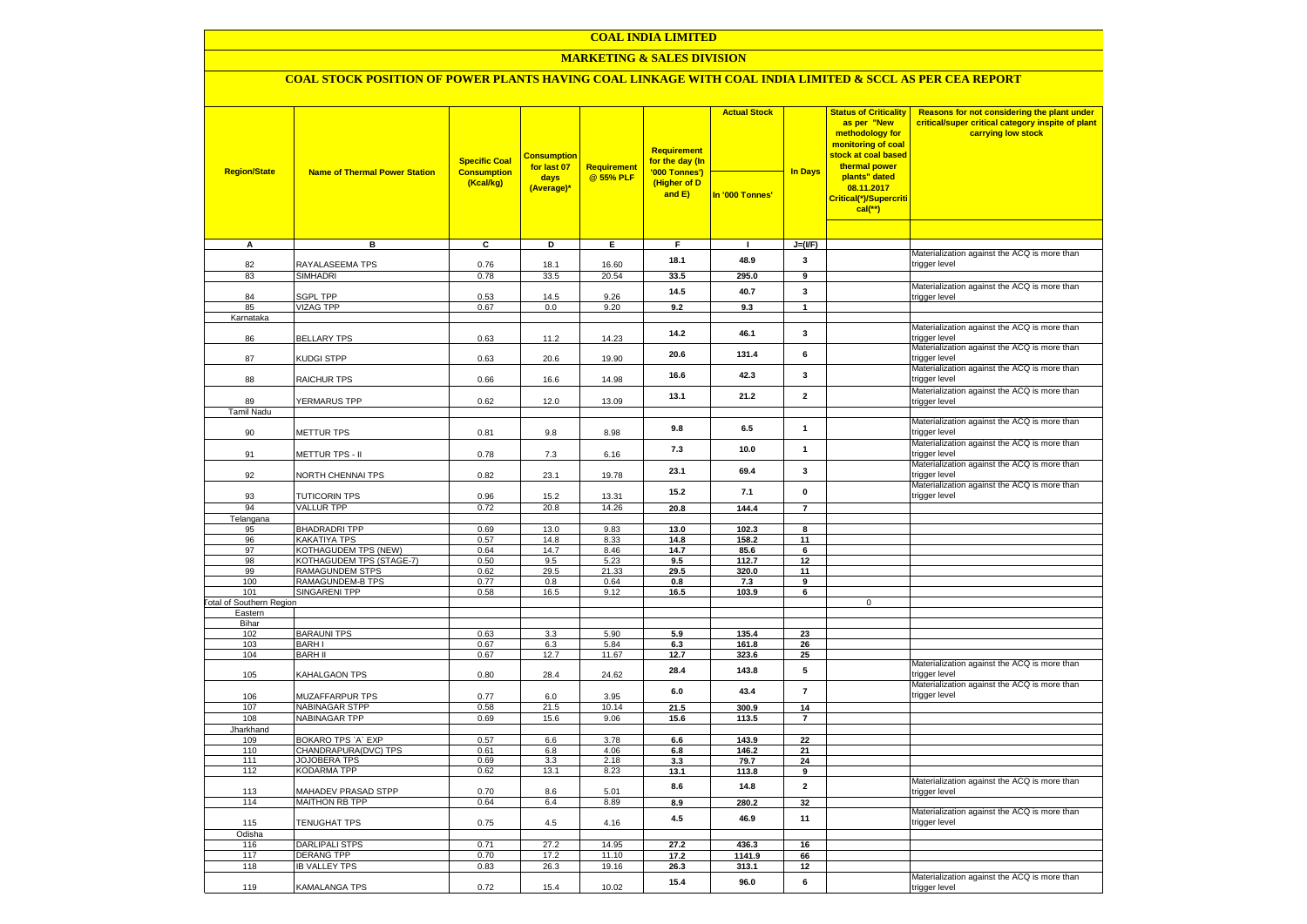### **COAL INDIA LIMITED**

### **MARKETING & SALES DIVISION**

## **COAL STOCK POSITION OF POWER PLANTS HAVING COAL LINKAGE WITH COAL INDIA LIMITED & SCCL AS PER CEA REPORT**

|                                            |                                      | <b>Specific Coal</b>            | <b>Consumption</b><br>for last 07 | Requirement    | <b>Requirement</b><br>for the day (In   | <b>Actual Stock</b> |                  | <b>Status of Criticality</b><br>as per "New<br>methodology for<br>monitoring of coal<br><mark>stock at coal based</mark><br>thermal power | Reasons for not considering the plant under<br>critical/super critical category inspite of plant<br>carrying low stock |
|--------------------------------------------|--------------------------------------|---------------------------------|-----------------------------------|----------------|-----------------------------------------|---------------------|------------------|-------------------------------------------------------------------------------------------------------------------------------------------|------------------------------------------------------------------------------------------------------------------------|
| <b>Region/State</b>                        | <b>Name of Thermal Power Station</b> | <b>Consumption</b><br>(Kcal/kg) | days<br>(Average)*                | @ 55% PLF      | '000 Tonnes')<br>(Higher of D<br>and E) | In '000 Tonnes'     | <b>In Days</b>   | plants" dated<br>08.11.2017<br>Critical(*)/Supercriti<br>$cal$ (**)                                                                       |                                                                                                                        |
|                                            |                                      |                                 |                                   |                |                                         |                     |                  |                                                                                                                                           |                                                                                                                        |
| $\overline{A}$                             | в                                    | c                               | Þ                                 | E              | F                                       | $\mathbf{I}$        | $J=(I/F)$        |                                                                                                                                           | Materialization against the ACQ is more than                                                                           |
| 82                                         | RAYALASEEMA TPS                      | 0.76                            | 18.1                              | 16.60          | 18.1                                    | 48.9                | 3                |                                                                                                                                           | trigger level                                                                                                          |
| 83                                         | <b>SIMHADRI</b>                      | 0.78                            | 33.5                              | 20.54          | 33.5                                    | 295.0               | $\overline{9}$   |                                                                                                                                           |                                                                                                                        |
|                                            |                                      |                                 |                                   |                | 14.5                                    | 40.7                | 3                |                                                                                                                                           | Materialization against the ACQ is more than                                                                           |
| 84                                         | <b>SGPL TPP</b>                      | 0.53                            | 14.5                              | 9.26           |                                         |                     |                  |                                                                                                                                           | trigger level                                                                                                          |
| 85                                         | <b>VIZAG TPP</b>                     | 0.67                            | 0.0                               | 9.20           | 9.2                                     | 9.3                 | $\mathbf{1}$     |                                                                                                                                           |                                                                                                                        |
| Karnataka                                  |                                      |                                 |                                   |                |                                         |                     |                  |                                                                                                                                           | Materialization against the ACQ is more than                                                                           |
| 86                                         | <b>BELLARY TPS</b>                   | 0.63                            | 11.2                              | 14.23          | 14.2                                    | 46.1                | $\mathbf{3}$     |                                                                                                                                           | trigger level                                                                                                          |
| 87                                         | KUDGI STPP                           | 0.63                            | 20.6                              | 19.90          | 20.6                                    | 131.4               | 6                |                                                                                                                                           | Materialization against the ACQ is more than<br>trigger level                                                          |
| 88                                         | RAICHUR TPS                          | 0.66                            | 16.6                              | 14.98          | 16.6                                    | 42.3                | $\mathbf{3}$     |                                                                                                                                           | Materialization against the ACQ is more than<br>trigger level                                                          |
|                                            |                                      |                                 |                                   |                | 13.1                                    | 21.2                | $\overline{2}$   |                                                                                                                                           | Materialization against the ACQ is more than                                                                           |
| 89                                         | YERMARUS TPP                         | 0.62                            | 12.0                              | 13.09          |                                         |                     |                  |                                                                                                                                           | trigger level                                                                                                          |
| <b>Tamil Nadu</b>                          |                                      |                                 |                                   |                |                                         |                     |                  |                                                                                                                                           | Materialization against the ACQ is more than                                                                           |
| 90                                         | <b>METTUR TPS</b>                    | 0.81                            | 9.8                               | 8.98           | 9.8                                     | 6.5                 | $\mathbf{1}$     |                                                                                                                                           | trigger level                                                                                                          |
| 91                                         | METTUR TPS - II                      | 0.78                            | 7.3                               | 6.16           | 7.3                                     | 10.0                | $\mathbf{1}$     |                                                                                                                                           | Materialization against the ACQ is more than<br>trigger level                                                          |
|                                            |                                      |                                 |                                   |                |                                         |                     |                  |                                                                                                                                           | Materialization against the ACQ is more than                                                                           |
| 92                                         | NORTH CHENNAI TPS                    | 0.82                            | 23.1                              | 19.78          | 23.1                                    | 69.4                | $\mathbf{3}$     |                                                                                                                                           | trigger level<br>Materialization against the ACQ is more than                                                          |
| 93                                         | <b>TUTICORIN TPS</b>                 | 0.96                            | 15.2                              | 13.31          | 15.2                                    | 7.1                 | $\mathbf 0$      |                                                                                                                                           | trigger level                                                                                                          |
| 94                                         | <b>VALLUR TPP</b>                    | 0.72                            | 20.8                              | 14.26          | 20.8                                    | 144.4               | $\overline{7}$   |                                                                                                                                           |                                                                                                                        |
| Telangana                                  |                                      |                                 |                                   |                |                                         |                     |                  |                                                                                                                                           |                                                                                                                        |
| 95<br>96                                   | <b>BHADRADRI TPP</b><br>KAKATIYA TPS | 0.69                            | 13.0                              | 9.83           | 13.0                                    | 102.3               | 8<br>11          |                                                                                                                                           |                                                                                                                        |
| 97                                         | KOTHAGUDEM TPS (NEW)                 | 0.57<br>0.64                    | 14.8<br>14.7                      | 8.33<br>8.46   | 14.8<br>14.7                            | 158.2<br>85.6       | $6\overline{6}$  |                                                                                                                                           |                                                                                                                        |
| 98                                         | KOTHAGUDEM TPS (STAGE-7)             | 0.50                            | 9.5                               | 5.23           | 9.5                                     | 112.7               | 12               |                                                                                                                                           |                                                                                                                        |
| 99                                         | <b>RAMAGUNDEM STPS</b>               | 0.62                            | 29.5                              | 21.33          | 29.5                                    | 320.0               | 11               |                                                                                                                                           |                                                                                                                        |
| 100                                        | RAMAGUNDEM-B TPS                     | 0.77                            | 0.8                               | 0.64           | 0.8                                     | 7.3                 | 9                |                                                                                                                                           |                                                                                                                        |
| 101                                        | <b>SINGARENI TPP</b>                 | 0.58                            | 16.5                              | 9.12           | 16.5                                    | 103.9               | 6                |                                                                                                                                           |                                                                                                                        |
| <b>Total of Southern Region</b><br>Eastern |                                      |                                 |                                   |                |                                         |                     |                  | $\mathbf 0$                                                                                                                               |                                                                                                                        |
| Bihar                                      |                                      |                                 |                                   |                |                                         |                     |                  |                                                                                                                                           |                                                                                                                        |
| 102                                        | <b>BARAUNI TPS</b>                   | 0.63                            | 3.3                               | 5.90           | 5.9                                     | 135.4               | 23               |                                                                                                                                           |                                                                                                                        |
| 103                                        | <b>BARHI</b>                         | 0.67                            | 6.3                               | 5.84           | 6.3                                     | 161.8               | 26               |                                                                                                                                           |                                                                                                                        |
| 104                                        | <b>BARH II</b>                       | 0.67                            | 12.7                              | 11.67          | 12.7                                    | 323.6               | 25               |                                                                                                                                           |                                                                                                                        |
| 105                                        | KAHALGAON TPS                        | 0.80                            | 28.4                              | 24.62          | 28.4                                    | 143.8               | 5                |                                                                                                                                           | Materialization against the ACQ is more than<br>trigger level                                                          |
| 106                                        | MUZAFFARPUR TPS                      | 0.77                            | 6.0                               | 3.95           | 6.0                                     | 43.4                | $\boldsymbol{7}$ |                                                                                                                                           | Materialization against the ACQ is more than<br>trigger level                                                          |
| 107                                        | <b>NABINAGAR STPP</b>                | 0.58                            | 21.5                              | 10.14          | 21.5                                    | 300.9               | 14               |                                                                                                                                           |                                                                                                                        |
| 108                                        | <b>NABINAGAR TPP</b>                 | 0.69                            | 15.6                              | 9.06           | 15.6                                    | 113.5               | $\overline{7}$   |                                                                                                                                           |                                                                                                                        |
| Jharkhand                                  | BOKARO TPS 'A' EXP                   | 0.57                            |                                   | 3.78           |                                         | 143.9               | 22               |                                                                                                                                           |                                                                                                                        |
| 109<br>110                                 | CHANDRAPURA(DVC) TPS                 | 0.61                            | 6.6<br>6.8                        | 4.06           | 6.6<br>6.8                              | 146.2               | 21               |                                                                                                                                           |                                                                                                                        |
| 111                                        | <b>JOJOBERA TPS</b>                  | 0.69                            | 3.3                               | 2.18           | 3.3                                     | 79.7                | 24               |                                                                                                                                           |                                                                                                                        |
| 112                                        | <b>KODARMA TPP</b>                   | 0.62                            | 13.1                              | 8.23           | 13.1                                    | 113.8               | 9                |                                                                                                                                           |                                                                                                                        |
| 113                                        | MAHADEV PRASAD STPP                  | 0.70                            | 8.6                               | 5.01           | 8.6                                     | 14.8                | $\mathbf{2}$     |                                                                                                                                           | Materialization against the ACQ is more than<br>trigger level                                                          |
| 114                                        | <b>MAITHON RB TPP</b>                | 0.64                            | 6.4                               | 8.89           | 8.9                                     | 280.2               | 32               |                                                                                                                                           |                                                                                                                        |
| 115                                        | TENUGHAT TPS                         | 0.75                            | 4.5                               | 4.16           | 4.5                                     | 46.9                | 11               |                                                                                                                                           | Materialization against the ACQ is more than<br>trigger level                                                          |
| Odisha                                     |                                      |                                 |                                   |                |                                         |                     |                  |                                                                                                                                           |                                                                                                                        |
| 116<br>117                                 | DARLIPALI STPS<br><b>DERANG TPP</b>  | 0.71<br>0.70                    | 27.2<br>17.2                      | 14.95          | 27.2                                    | 436.3               | 16               |                                                                                                                                           |                                                                                                                        |
| 118                                        | <b>IB VALLEY TPS</b>                 | 0.83                            | 26.3                              | 11.10<br>19.16 | 17.2<br>26.3                            | 1141.9<br>313.1     | 66<br>12         |                                                                                                                                           |                                                                                                                        |
|                                            |                                      |                                 |                                   |                |                                         |                     |                  |                                                                                                                                           | Materialization against the ACQ is more than                                                                           |
| 119                                        | KAMALANGA TPS                        | 0.72                            | 15.4                              | 10.02          | 15.4                                    | 96.0                | 6                |                                                                                                                                           | trigger level                                                                                                          |